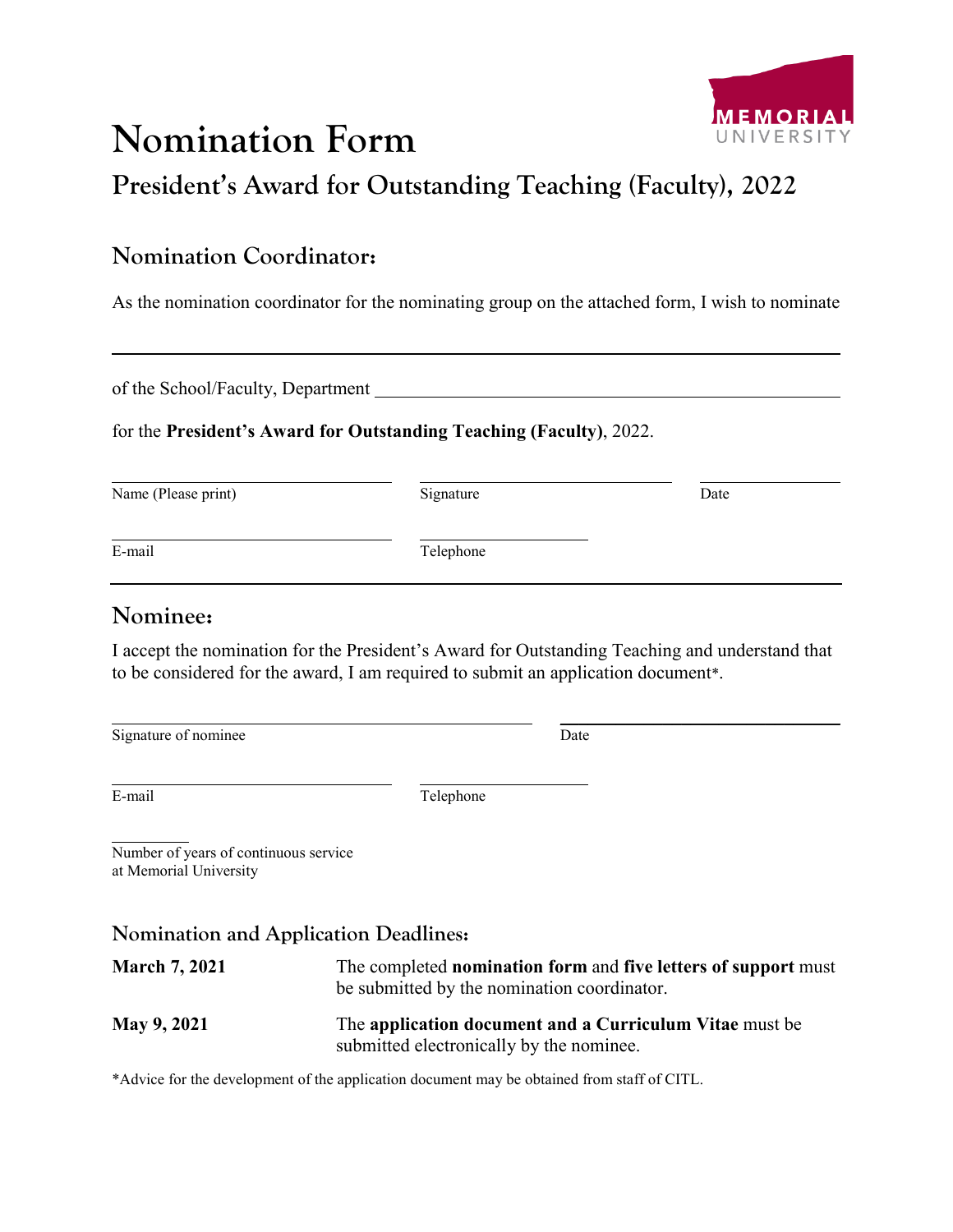# **Nomination Form**



**President's Award for Outstanding Teaching (Faculty), 2022**

## **Nomination Coordinator:**

As the nomination coordinator for the nominating group on the attached form, I wish to nominate

of the School/Faculty, Department

#### for the **President's Award for Outstanding Teaching (Faculty)**, 2022.

Name (Please print) Signature Signature Date

\_\_\_\_\_\_\_\_\_\_\_\_\_\_\_\_\_\_\_\_\_\_\_\_\_\_\_\_\_\_

E-mail Telephone

### **Nominee:**

I accept the nomination for the President's Award for Outstanding Teaching and understand that to be considered for the award, I am required to submit an application document\*.

Signature of nominee Date

E-mail Telephone

Number of years of continuous service at Memorial University

#### **Nomination and Application Deadlines:**

**March 7, 2021** The completed **nomination form** and **five letters of support** must be submitted by the nomination coordinator. **May 9, 2021** The **application document and a Curriculum Vitae** must be submitted electronically by the nominee.

\*Advice for the development of the application document may be obtained from staff of CITL.